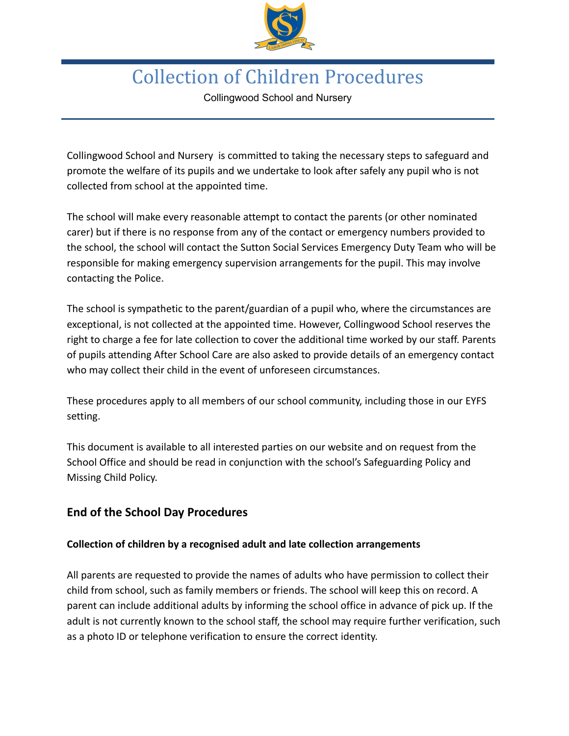

# Collection of Children Procedures

Collingwood School and Nursery

Collingwood School and Nursery is committed to taking the necessary steps to safeguard and promote the welfare of its pupils and we undertake to look after safely any pupil who is not collected from school at the appointed time.

The school will make every reasonable attempt to contact the parents (or other nominated carer) but if there is no response from any of the contact or emergency numbers provided to the school, the school will contact the Sutton Social Services Emergency Duty Team who will be responsible for making emergency supervision arrangements for the pupil. This may involve contacting the Police.

The school is sympathetic to the parent/guardian of a pupil who, where the circumstances are exceptional, is not collected at the appointed time. However, Collingwood School reserves the right to charge a fee for late collection to cover the additional time worked by our staff. Parents of pupils attending After School Care are also asked to provide details of an emergency contact who may collect their child in the event of unforeseen circumstances.

These procedures apply to all members of our school community, including those in our EYFS setting.

This document is available to all interested parties on our website and on request from the School Office and should be read in conjunction with the school's Safeguarding Policy and Missing Child Policy.

## **End of the School Day Procedures**

### **Collection of children by a recognised adult and late collection arrangements**

All parents are requested to provide the names of adults who have permission to collect their child from school, such as family members or friends. The school will keep this on record. A parent can include additional adults by informing the school office in advance of pick up. If the adult is not currently known to the school staff, the school may require further verification, such as a photo ID or telephone verification to ensure the correct identity.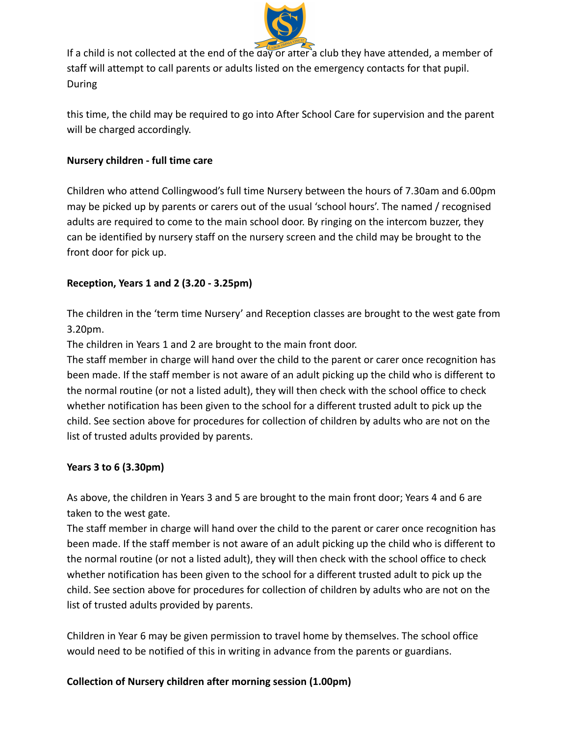

If a child is not collected at the end of the day or after a club they have attended, a member of staff will attempt to call parents or adults listed on the emergency contacts for that pupil. During

this time, the child may be required to go into After School Care for supervision and the parent will be charged accordingly.

#### **Nursery children - full time care**

Children who attend Collingwood's full time Nursery between the hours of 7.30am and 6.00pm may be picked up by parents or carers out of the usual 'school hours'. The named / recognised adults are required to come to the main school door. By ringing on the intercom buzzer, they can be identified by nursery staff on the nursery screen and the child may be brought to the front door for pick up.

#### **Reception, Years 1 and 2 (3.20 - 3.25pm)**

The children in the 'term time Nursery' and Reception classes are brought to the west gate from 3.20pm.

The children in Years 1 and 2 are brought to the main front door.

The staff member in charge will hand over the child to the parent or carer once recognition has been made. If the staff member is not aware of an adult picking up the child who is different to the normal routine (or not a listed adult), they will then check with the school office to check whether notification has been given to the school for a different trusted adult to pick up the child. See section above for procedures for collection of children by adults who are not on the list of trusted adults provided by parents.

#### **Years 3 to 6 (3.30pm)**

As above, the children in Years 3 and 5 are brought to the main front door; Years 4 and 6 are taken to the west gate.

The staff member in charge will hand over the child to the parent or carer once recognition has been made. If the staff member is not aware of an adult picking up the child who is different to the normal routine (or not a listed adult), they will then check with the school office to check whether notification has been given to the school for a different trusted adult to pick up the child. See section above for procedures for collection of children by adults who are not on the list of trusted adults provided by parents.

Children in Year 6 may be given permission to travel home by themselves. The school office would need to be notified of this in writing in advance from the parents or guardians.

#### **Collection of Nursery children after morning session (1.00pm)**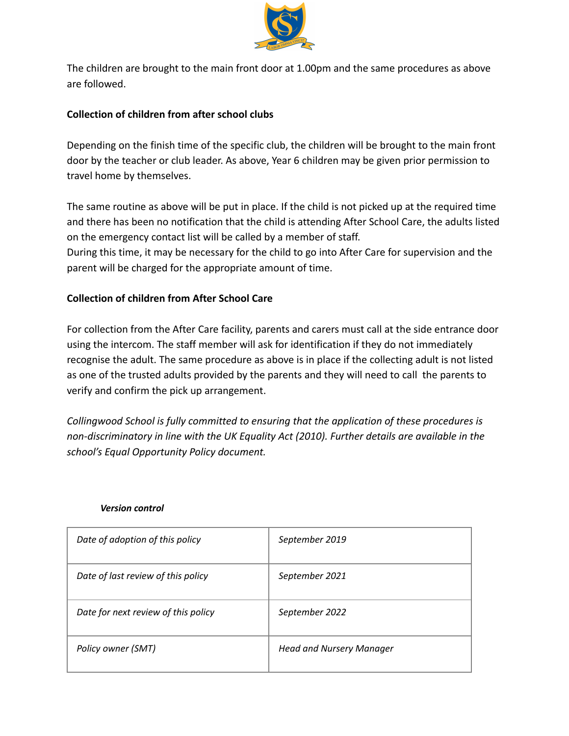

The children are brought to the main front door at 1.00pm and the same procedures as above are followed.

#### **Collection of children from after school clubs**

Depending on the finish time of the specific club, the children will be brought to the main front door by the teacher or club leader. As above, Year 6 children may be given prior permission to travel home by themselves.

The same routine as above will be put in place. If the child is not picked up at the required time and there has been no notification that the child is attending After School Care, the adults listed on the emergency contact list will be called by a member of staff. During this time, it may be necessary for the child to go into After Care for supervision and the parent will be charged for the appropriate amount of time.

#### **Collection of children from After School Care**

For collection from the After Care facility, parents and carers must call at the side entrance door using the intercom. The staff member will ask for identification if they do not immediately recognise the adult. The same procedure as above is in place if the collecting adult is not listed as one of the trusted adults provided by the parents and they will need to call the parents to verify and confirm the pick up arrangement.

*Collingwood School is fully committed to ensuring that the application of these procedures is non-discriminatory in line with the UK Equality Act (2010). Further details are available in the school's Equal Opportunity Policy document.*

| Date of adoption of this policy     | September 2019                  |
|-------------------------------------|---------------------------------|
| Date of last review of this policy  | September 2021                  |
| Date for next review of this policy | September 2022                  |
| Policy owner (SMT)                  | <b>Head and Nursery Manager</b> |

#### *Version control*